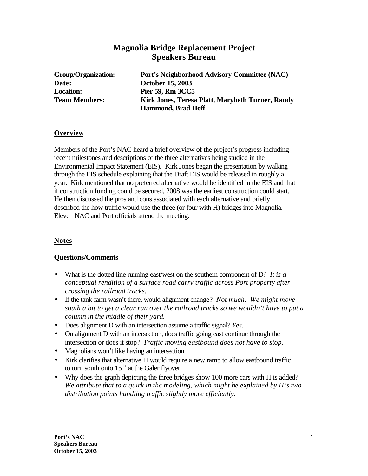# **Magnolia Bridge Replacement Project Speakers Bureau**

**Date: October 15, 2003 Location: Pier 59, Rm 3CC5**

**Group/Organization: Port's Neighborhood Advisory Committee (NAC) Team Members: Kirk Jones, Teresa Platt, Marybeth Turner, Randy Hammond, Brad Hoff**

### **Overview**

Members of the Port's NAC heard a brief overview of the project's progress including recent milestones and descriptions of the three alternatives being studied in the Environmental Impact Statement (EIS). Kirk Jones began the presentation by walking through the EIS schedule explaining that the Draft EIS would be released in roughly a year. Kirk mentioned that no preferred alternative would be identified in the EIS and that if construction funding could be secured, 2008 was the earliest construction could start. He then discussed the pros and cons associated with each alternative and briefly described the how traffic would use the three (or four with H) bridges into Magnolia. Eleven NAC and Port officials attend the meeting.

#### **Notes**

#### **Questions/Comments**

- What is the dotted line running east/west on the southern component of D? *It is a conceptual rendition of a surface road carry traffic across Port property after crossing the railroad tracks.*
- If the tank farm wasn't there, would alignment change? *Not much. We might move south a bit to get a clear run over the railroad tracks so we wouldn't have to put a column in the middle of their yard.*
- Does alignment D with an intersection assume a traffic signal? *Yes.*
- On alignment D with an intersection, does traffic going east continue through the intersection or does it stop? *Traffic moving eastbound does not have to stop.*
- Magnolians won't like having an intersection.
- Kirk clarifies that alternative H would require a new ramp to allow eastbound traffic to turn south onto  $15<sup>th</sup>$  at the Galer flyover.
- Why does the graph depicting the three bridges show 100 more cars with H is added? *We attribute that to a quirk in the modeling, which might be explained by H's two distribution points handling traffic slightly more efficiently.*